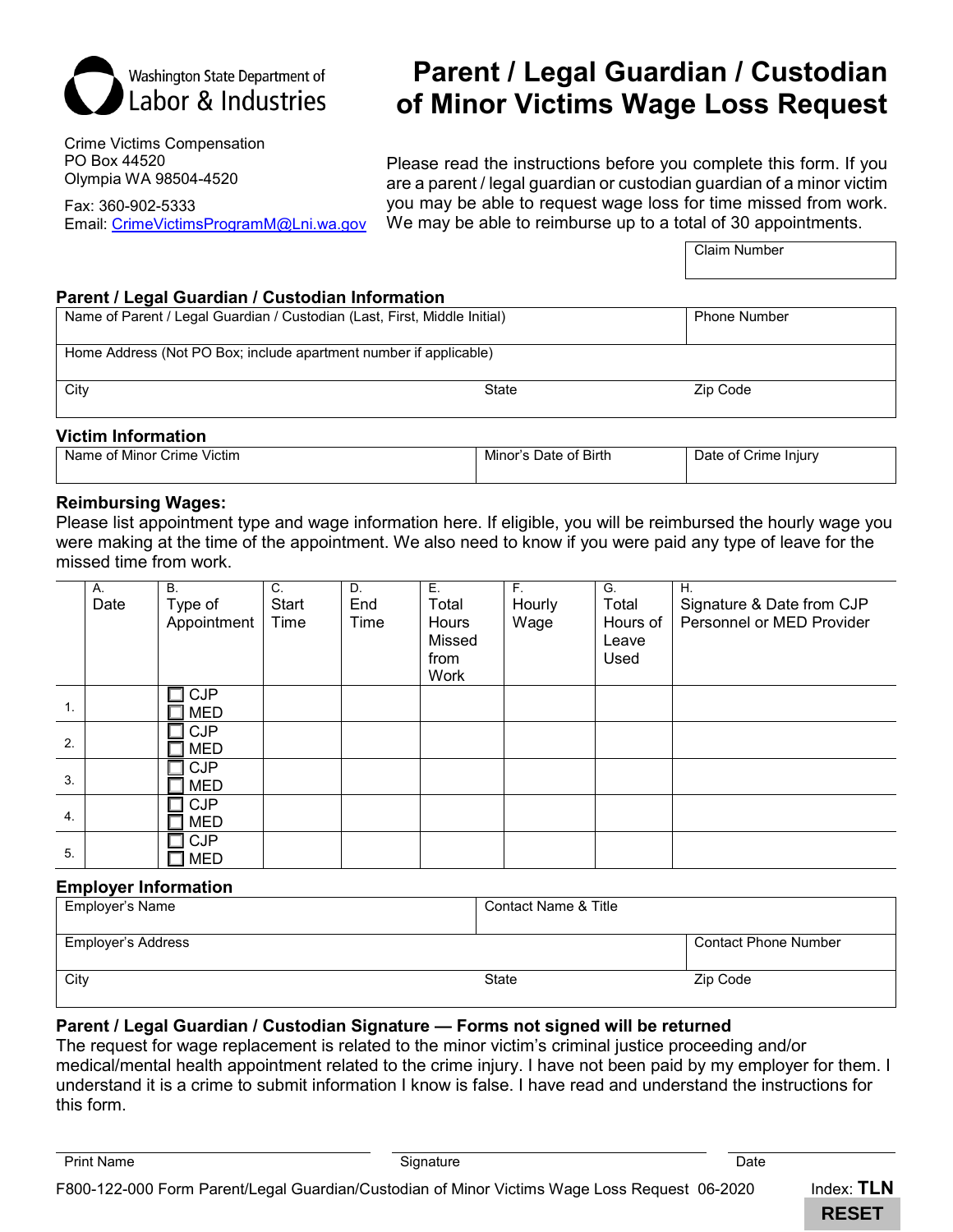

# **Parent / Legal Guardian / Custodian of Minor Victims Wage Loss Request**

Crime Victims Compensation PO Box 44520 Olympia WA 98504-4520

Fax: 360-902-5333 Email: [CrimeVictimsProgramM@Lni.wa.gov](mailto:CrimeVictimsProgramM@Lni.wa.gov)

Please read the instructions before you complete this form. If you are a parent / legal guardian or custodian guardian of a minor victim you may be able to request wage loss for time missed from work. We may be able to reimburse up to a total of 30 appointments.

Claim Number

### **Parent / Legal Guardian / Custodian Information**

|                                                                   | Name of Parent / Legal Guardian / Custodian (Last, First, Middle Initial) |          |  |  |  |  |
|-------------------------------------------------------------------|---------------------------------------------------------------------------|----------|--|--|--|--|
| Home Address (Not PO Box; include apartment number if applicable) |                                                                           |          |  |  |  |  |
| City                                                              | State                                                                     | Zip Code |  |  |  |  |

#### **Victim Information**

| Crime Victim<br>. of Minor<br>Name | Minor's Date of Birth | Date of Crime Injury |
|------------------------------------|-----------------------|----------------------|
|                                    |                       |                      |

#### **Reimbursing Wages:**

Please list appointment type and wage information here. If eligible, you will be reimbursed the hourly wage you were making at the time of the appointment. We also need to know if you were paid any type of leave for the missed time from work.

|    | Α.   | <b>B.</b>   | C.    | D.   | Ε.     | $F_{\rm{H}}$ | G.       | Η.                        |
|----|------|-------------|-------|------|--------|--------------|----------|---------------------------|
|    | Date | Type of     | Start | End  | Total  | Hourly       | Total    | Signature & Date from CJP |
|    |      | Appointment | Time  | Time | Hours  | Wage         | Hours of | Personnel or MED Provider |
|    |      |             |       |      | Missed |              | Leave    |                           |
|    |      |             |       |      | from   |              | Used     |                           |
|    |      |             |       |      | Work   |              |          |                           |
|    |      | <b>CJP</b>  |       |      |        |              |          |                           |
| 1. |      | <b>MED</b>  |       |      |        |              |          |                           |
|    |      | <b>CJP</b>  |       |      |        |              |          |                           |
| 2. |      | <b>MED</b>  |       |      |        |              |          |                           |
|    |      | <b>CJP</b>  |       |      |        |              |          |                           |
| 3. |      | <b>MED</b>  |       |      |        |              |          |                           |
|    |      | <b>CJP</b>  |       |      |        |              |          |                           |
| 4. |      | <b>MED</b>  |       |      |        |              |          |                           |
|    |      | <b>CJP</b>  |       |      |        |              |          |                           |
| 5. |      | <b>MED</b>  |       |      |        |              |          |                           |

#### **Employer Information**

| Employer's Name    | Contact Name & Title |                             |
|--------------------|----------------------|-----------------------------|
| Employer's Address |                      | <b>Contact Phone Number</b> |
| City               | State                | Zip Code                    |

# **Parent / Legal Guardian / Custodian Signature — Forms not signed will be returned**

The request for wage replacement is related to the minor victim's criminal justice proceeding and/or medical/mental health appointment related to the crime injury. I have not been paid by my employer for them. I understand it is a crime to submit information I know is false. I have read and understand the instructions for this form.

Print Name Signature Date